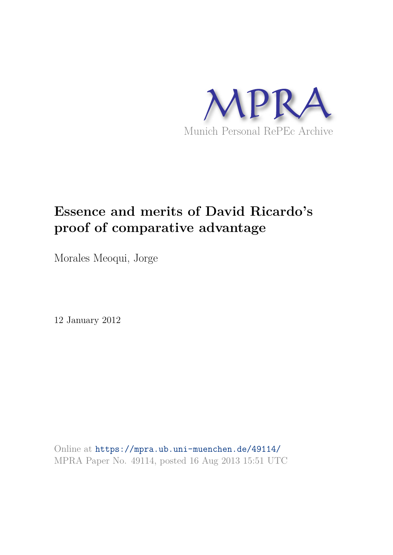

# **Essence and merits of David Ricardo's proof of comparative advantage**

Morales Meoqui, Jorge

12 January 2012

Online at https://mpra.ub.uni-muenchen.de/49114/ MPRA Paper No. 49114, posted 16 Aug 2013 15:51 UTC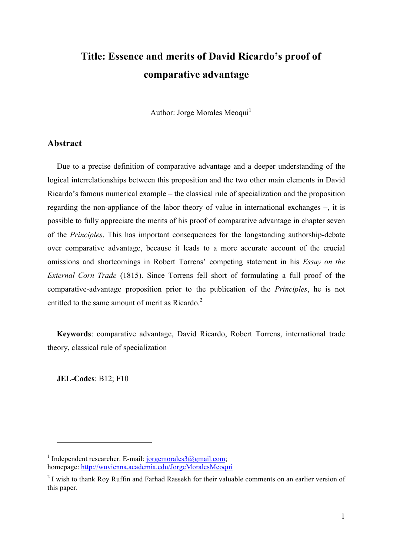## **Title: Essence and merits of David Ricardo's proof of comparative advantage**

Author: Jorge Morales Meoqui<sup>1</sup>

## **Abstract**

Due to a precise definition of comparative advantage and a deeper understanding of the logical interrelationships between this proposition and the two other main elements in David Ricardo's famous numerical example – the classical rule of specialization and the proposition regarding the non-appliance of the labor theory of value in international exchanges –, it is possible to fully appreciate the merits of his proof of comparative advantage in chapter seven of the *Principles*. This has important consequences for the longstanding authorship-debate over comparative advantage, because it leads to a more accurate account of the crucial omissions and shortcomings in Robert Torrens' competing statement in his *Essay on the External Corn Trade* (1815). Since Torrens fell short of formulating a full proof of the comparative-advantage proposition prior to the publication of the *Principles*, he is not entitled to the same amount of merit as Ricardo.<sup>2</sup>

**Keywords**: comparative advantage, David Ricardo, Robert Torrens, international trade theory, classical rule of specialization

**JEL-Codes**: B12; F10

<sup>&</sup>lt;sup>1</sup> Independent researcher. E-mail: jorgemorales3@gmail.com; homepage: http://wuvienna.academia.edu/JorgeMoralesMeoqui

 $2$  I wish to thank Roy Ruffin and Farhad Rassekh for their valuable comments on an earlier version of this paper.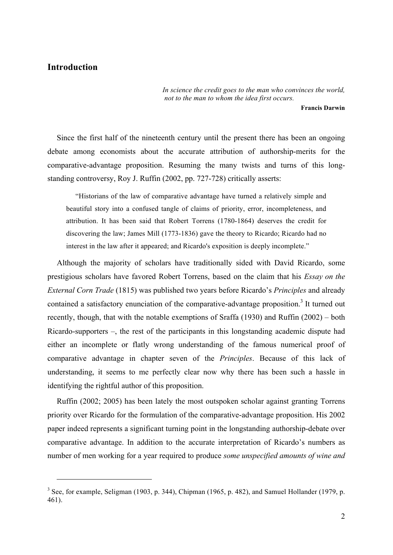## **Introduction**

 $\overline{a}$ 

*In science the credit goes to the man who convinces the world, not to the man to whom the idea first occurs.*

**Francis Darwin**

Since the first half of the nineteenth century until the present there has been an ongoing debate among economists about the accurate attribution of authorship-merits for the comparative-advantage proposition. Resuming the many twists and turns of this longstanding controversy, Roy J. Ruffin (2002, pp. 727-728) critically asserts:

"Historians of the law of comparative advantage have turned a relatively simple and beautiful story into a confused tangle of claims of priority, error, incompleteness, and attribution. It has been said that Robert Torrens (1780-1864) deserves the credit for discovering the law; James Mill (1773-1836) gave the theory to Ricardo; Ricardo had no interest in the law after it appeared; and Ricardo's exposition is deeply incomplete."

Although the majority of scholars have traditionally sided with David Ricardo, some prestigious scholars have favored Robert Torrens, based on the claim that his *Essay on the External Corn Trade* (1815) was published two years before Ricardo's *Principles* and already contained a satisfactory enunciation of the comparative-advantage proposition.<sup>3</sup> It turned out recently, though, that with the notable exemptions of Sraffa (1930) and Ruffin (2002) – both Ricardo-supporters –, the rest of the participants in this longstanding academic dispute had either an incomplete or flatly wrong understanding of the famous numerical proof of comparative advantage in chapter seven of the *Principles*. Because of this lack of understanding, it seems to me perfectly clear now why there has been such a hassle in identifying the rightful author of this proposition.

Ruffin (2002; 2005) has been lately the most outspoken scholar against granting Torrens priority over Ricardo for the formulation of the comparative-advantage proposition. His 2002 paper indeed represents a significant turning point in the longstanding authorship-debate over comparative advantage. In addition to the accurate interpretation of Ricardo's numbers as number of men working for a year required to produce *some unspecified amounts of wine and* 

 $3$  See, for example, Seligman (1903, p. 344), Chipman (1965, p. 482), and Samuel Hollander (1979, p. 461).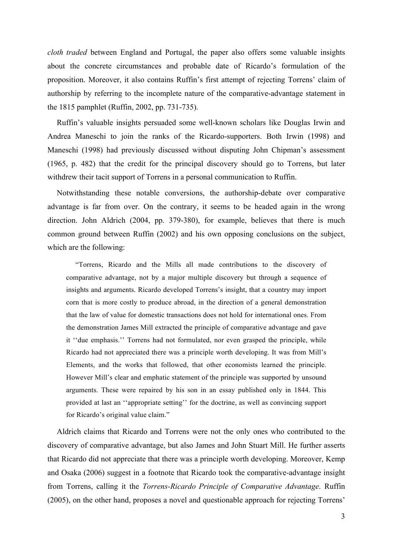*cloth traded* between England and Portugal, the paper also offers some valuable insights about the concrete circumstances and probable date of Ricardo's formulation of the proposition. Moreover, it also contains Ruffin's first attempt of rejecting Torrens' claim of authorship by referring to the incomplete nature of the comparative-advantage statement in the 1815 pamphlet (Ruffin, 2002, pp. 731-735).

Ruffin's valuable insights persuaded some well-known scholars like Douglas Irwin and Andrea Maneschi to join the ranks of the Ricardo-supporters. Both Irwin (1998) and Maneschi (1998) had previously discussed without disputing John Chipman's assessment (1965, p. 482) that the credit for the principal discovery should go to Torrens, but later withdrew their tacit support of Torrens in a personal communication to Ruffin.

Notwithstanding these notable conversions, the authorship-debate over comparative advantage is far from over. On the contrary, it seems to be headed again in the wrong direction. John Aldrich (2004, pp. 379-380), for example, believes that there is much common ground between Ruffin (2002) and his own opposing conclusions on the subject, which are the following:

"Torrens, Ricardo and the Mills all made contributions to the discovery of comparative advantage, not by a major multiple discovery but through a sequence of insights and arguments. Ricardo developed Torrens's insight, that a country may import corn that is more costly to produce abroad, in the direction of a general demonstration that the law of value for domestic transactions does not hold for international ones. From the demonstration James Mill extracted the principle of comparative advantage and gave it ''due emphasis.'' Torrens had not formulated, nor even grasped the principle, while Ricardo had not appreciated there was a principle worth developing. It was from Mill's Elements, and the works that followed, that other economists learned the principle. However Mill's clear and emphatic statement of the principle was supported by unsound arguments. These were repaired by his son in an essay published only in 1844. This provided at last an ''appropriate setting'' for the doctrine, as well as convincing support for Ricardo's original value claim."

Aldrich claims that Ricardo and Torrens were not the only ones who contributed to the discovery of comparative advantage, but also James and John Stuart Mill. He further asserts that Ricardo did not appreciate that there was a principle worth developing. Moreover, Kemp and Osaka (2006) suggest in a footnote that Ricardo took the comparative-advantage insight from Torrens, calling it the *Torrens-Ricardo Principle of Comparative Advantage*. Ruffin (2005), on the other hand, proposes a novel and questionable approach for rejecting Torrens'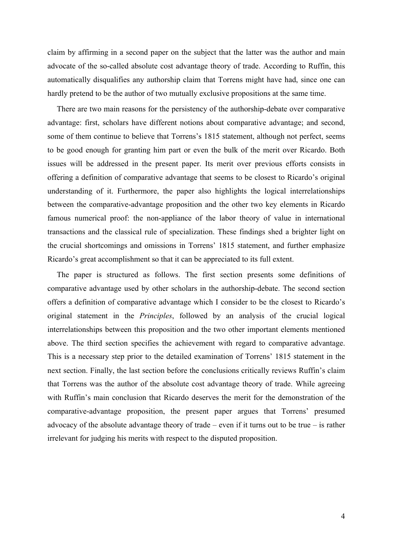claim by affirming in a second paper on the subject that the latter was the author and main advocate of the so-called absolute cost advantage theory of trade. According to Ruffin, this automatically disqualifies any authorship claim that Torrens might have had, since one can hardly pretend to be the author of two mutually exclusive propositions at the same time.

There are two main reasons for the persistency of the authorship-debate over comparative advantage: first, scholars have different notions about comparative advantage; and second, some of them continue to believe that Torrens's 1815 statement, although not perfect, seems to be good enough for granting him part or even the bulk of the merit over Ricardo. Both issues will be addressed in the present paper. Its merit over previous efforts consists in offering a definition of comparative advantage that seems to be closest to Ricardo's original understanding of it. Furthermore, the paper also highlights the logical interrelationships between the comparative-advantage proposition and the other two key elements in Ricardo famous numerical proof: the non-appliance of the labor theory of value in international transactions and the classical rule of specialization. These findings shed a brighter light on the crucial shortcomings and omissions in Torrens' 1815 statement, and further emphasize Ricardo's great accomplishment so that it can be appreciated to its full extent.

The paper is structured as follows. The first section presents some definitions of comparative advantage used by other scholars in the authorship-debate. The second section offers a definition of comparative advantage which I consider to be the closest to Ricardo's original statement in the *Principles*, followed by an analysis of the crucial logical interrelationships between this proposition and the two other important elements mentioned above. The third section specifies the achievement with regard to comparative advantage. This is a necessary step prior to the detailed examination of Torrens' 1815 statement in the next section. Finally, the last section before the conclusions critically reviews Ruffin's claim that Torrens was the author of the absolute cost advantage theory of trade. While agreeing with Ruffin's main conclusion that Ricardo deserves the merit for the demonstration of the comparative-advantage proposition, the present paper argues that Torrens' presumed advocacy of the absolute advantage theory of trade – even if it turns out to be true – is rather irrelevant for judging his merits with respect to the disputed proposition.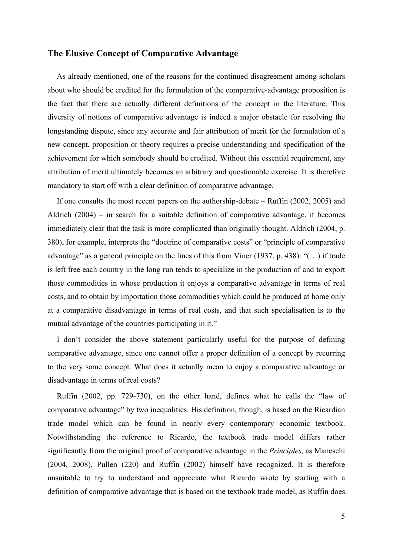## **The Elusive Concept of Comparative Advantage**

As already mentioned, one of the reasons for the continued disagreement among scholars about who should be credited for the formulation of the comparative-advantage proposition is the fact that there are actually different definitions of the concept in the literature. This diversity of notions of comparative advantage is indeed a major obstacle for resolving the longstanding dispute, since any accurate and fair attribution of merit for the formulation of a new concept, proposition or theory requires a precise understanding and specification of the achievement for which somebody should be credited. Without this essential requirement, any attribution of merit ultimately becomes an arbitrary and questionable exercise. It is therefore mandatory to start off with a clear definition of comparative advantage.

If one consults the most recent papers on the authorship-debate – Ruffin (2002, 2005) and Aldrich (2004) – in search for a suitable definition of comparative advantage, it becomes immediately clear that the task is more complicated than originally thought. Aldrich (2004, p. 380), for example, interprets the "doctrine of comparative costs" or "principle of comparative advantage" as a general principle on the lines of this from Viner (1937, p. 438): "(…) if trade is left free each country in the long run tends to specialize in the production of and to export those commodities in whose production it enjoys a comparative advantage in terms of real costs, and to obtain by importation those commodities which could be produced at home only at a comparative disadvantage in terms of real costs, and that such specialisation is to the mutual advantage of the countries participating in it."

I don't consider the above statement particularly useful for the purpose of defining comparative advantage, since one cannot offer a proper definition of a concept by recurring to the very same concept. What does it actually mean to enjoy a comparative advantage or disadvantage in terms of real costs?

Ruffin (2002, pp. 729-730), on the other hand, defines what he calls the "law of comparative advantage" by two inequalities. His definition, though, is based on the Ricardian trade model which can be found in nearly every contemporary economic textbook. Notwithstanding the reference to Ricardo, the textbook trade model differs rather significantly from the original proof of comparative advantage in the *Principles,* as Maneschi (2004, 2008), Pullen (220) and Ruffin (2002) himself have recognized. It is therefore unsuitable to try to understand and appreciate what Ricardo wrote by starting with a definition of comparative advantage that is based on the textbook trade model, as Ruffin does.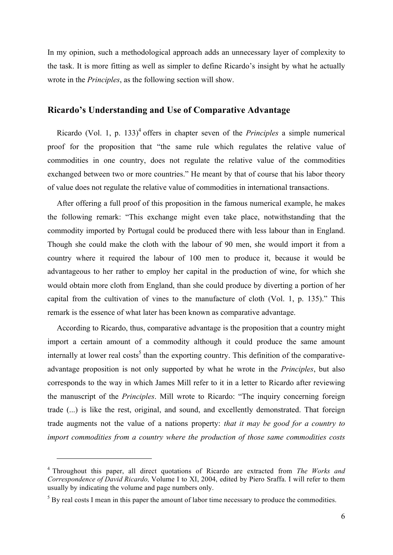In my opinion, such a methodological approach adds an unnecessary layer of complexity to the task. It is more fitting as well as simpler to define Ricardo's insight by what he actually wrote in the *Principles*, as the following section will show.

## **Ricardo's Understanding and Use of Comparative Advantage**

Ricardo (Vol. 1, p. 133)<sup>4</sup> offers in chapter seven of the *Principles* a simple numerical proof for the proposition that "the same rule which regulates the relative value of commodities in one country, does not regulate the relative value of the commodities exchanged between two or more countries." He meant by that of course that his labor theory of value does not regulate the relative value of commodities in international transactions.

After offering a full proof of this proposition in the famous numerical example, he makes the following remark: "This exchange might even take place, notwithstanding that the commodity imported by Portugal could be produced there with less labour than in England. Though she could make the cloth with the labour of 90 men, she would import it from a country where it required the labour of 100 men to produce it, because it would be advantageous to her rather to employ her capital in the production of wine, for which she would obtain more cloth from England, than she could produce by diverting a portion of her capital from the cultivation of vines to the manufacture of cloth (Vol. 1, p. 135)." This remark is the essence of what later has been known as comparative advantage.

According to Ricardo, thus, comparative advantage is the proposition that a country might import a certain amount of a commodity although it could produce the same amount internally at lower real costs<sup>5</sup> than the exporting country. This definition of the comparativeadvantage proposition is not only supported by what he wrote in the *Principles*, but also corresponds to the way in which James Mill refer to it in a letter to Ricardo after reviewing the manuscript of the *Principles*. Mill wrote to Ricardo: "The inquiry concerning foreign trade (...) is like the rest, original, and sound, and excellently demonstrated. That foreign trade augments not the value of a nations property: *that it may be good for a country to import commodities from a country where the production of those same commodities costs* 

<sup>4</sup> Throughout this paper, all direct quotations of Ricardo are extracted from *The Works and Correspondence of David Ricardo,* Volume I to XI, 2004, edited by Piero Sraffa. I will refer to them usually by indicating the volume and page numbers only.

 $<sup>5</sup>$  By real costs I mean in this paper the amount of labor time necessary to produce the commodities.</sup>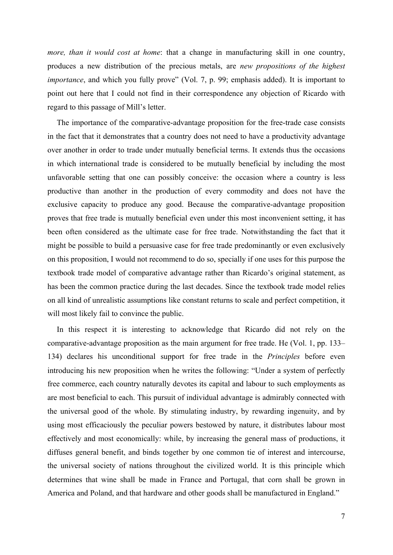*more, than it would cost at home*: that a change in manufacturing skill in one country, produces a new distribution of the precious metals, are *new propositions of the highest importance*, and which you fully prove" (Vol. 7, p. 99; emphasis added). It is important to point out here that I could not find in their correspondence any objection of Ricardo with regard to this passage of Mill's letter.

The importance of the comparative-advantage proposition for the free-trade case consists in the fact that it demonstrates that a country does not need to have a productivity advantage over another in order to trade under mutually beneficial terms. It extends thus the occasions in which international trade is considered to be mutually beneficial by including the most unfavorable setting that one can possibly conceive: the occasion where a country is less productive than another in the production of every commodity and does not have the exclusive capacity to produce any good. Because the comparative-advantage proposition proves that free trade is mutually beneficial even under this most inconvenient setting, it has been often considered as the ultimate case for free trade. Notwithstanding the fact that it might be possible to build a persuasive case for free trade predominantly or even exclusively on this proposition, I would not recommend to do so, specially if one uses for this purpose the textbook trade model of comparative advantage rather than Ricardo's original statement, as has been the common practice during the last decades. Since the textbook trade model relies on all kind of unrealistic assumptions like constant returns to scale and perfect competition, it will most likely fail to convince the public.

In this respect it is interesting to acknowledge that Ricardo did not rely on the comparative-advantage proposition as the main argument for free trade. He (Vol. 1, pp. 133– 134) declares his unconditional support for free trade in the *Principles* before even introducing his new proposition when he writes the following: "Under a system of perfectly free commerce, each country naturally devotes its capital and labour to such employments as are most beneficial to each. This pursuit of individual advantage is admirably connected with the universal good of the whole. By stimulating industry, by rewarding ingenuity, and by using most efficaciously the peculiar powers bestowed by nature, it distributes labour most effectively and most economically: while, by increasing the general mass of productions, it diffuses general benefit, and binds together by one common tie of interest and intercourse, the universal society of nations throughout the civilized world. It is this principle which determines that wine shall be made in France and Portugal, that corn shall be grown in America and Poland, and that hardware and other goods shall be manufactured in England."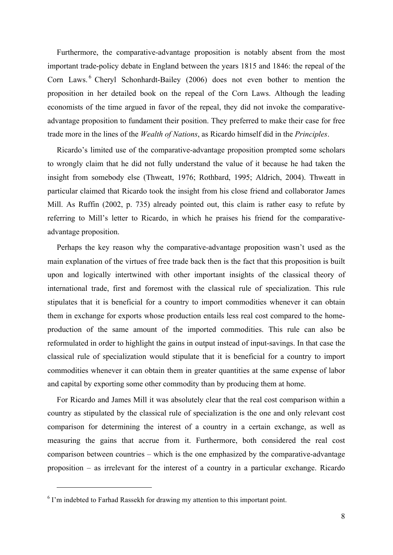Furthermore, the comparative-advantage proposition is notably absent from the most important trade-policy debate in England between the years 1815 and 1846: the repeal of the Corn Laws.<sup>6</sup> Cheryl Schonhardt-Bailey (2006) does not even bother to mention the proposition in her detailed book on the repeal of the Corn Laws. Although the leading economists of the time argued in favor of the repeal, they did not invoke the comparativeadvantage proposition to fundament their position. They preferred to make their case for free trade more in the lines of the *Wealth of Nations*, as Ricardo himself did in the *Principles*.

Ricardo's limited use of the comparative-advantage proposition prompted some scholars to wrongly claim that he did not fully understand the value of it because he had taken the insight from somebody else (Thweatt, 1976; Rothbard, 1995; Aldrich, 2004). Thweatt in particular claimed that Ricardo took the insight from his close friend and collaborator James Mill. As Ruffin (2002, p. 735) already pointed out, this claim is rather easy to refute by referring to Mill's letter to Ricardo, in which he praises his friend for the comparativeadvantage proposition.

Perhaps the key reason why the comparative-advantage proposition wasn't used as the main explanation of the virtues of free trade back then is the fact that this proposition is built upon and logically intertwined with other important insights of the classical theory of international trade, first and foremost with the classical rule of specialization. This rule stipulates that it is beneficial for a country to import commodities whenever it can obtain them in exchange for exports whose production entails less real cost compared to the homeproduction of the same amount of the imported commodities. This rule can also be reformulated in order to highlight the gains in output instead of input-savings. In that case the classical rule of specialization would stipulate that it is beneficial for a country to import commodities whenever it can obtain them in greater quantities at the same expense of labor and capital by exporting some other commodity than by producing them at home.

For Ricardo and James Mill it was absolutely clear that the real cost comparison within a country as stipulated by the classical rule of specialization is the one and only relevant cost comparison for determining the interest of a country in a certain exchange, as well as measuring the gains that accrue from it. Furthermore, both considered the real cost comparison between countries – which is the one emphasized by the comparative-advantage proposition – as irrelevant for the interest of a country in a particular exchange. Ricardo

<sup>&</sup>lt;sup>6</sup> I'm indebted to Farhad Rassekh for drawing my attention to this important point.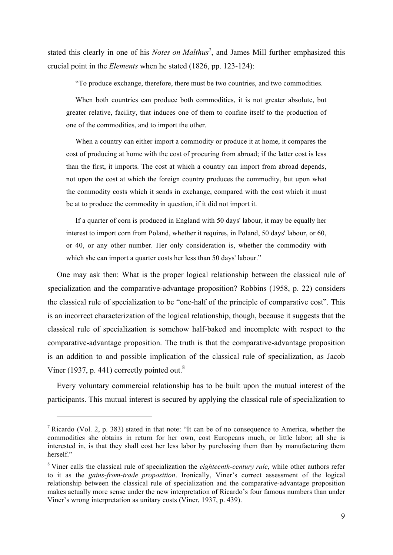stated this clearly in one of his *Notes on Malthus*<sup>7</sup>, and James Mill further emphasized this crucial point in the *Elements* when he stated (1826, pp. 123-124):

"To produce exchange, therefore, there must be two countries, and two commodities.

When both countries can produce both commodities, it is not greater absolute, but greater relative, facility, that induces one of them to confine itself to the production of one of the commodities, and to import the other.

When a country can either import a commodity or produce it at home, it compares the cost of producing at home with the cost of procuring from abroad; if the latter cost is less than the first, it imports. The cost at which a country can import from abroad depends, not upon the cost at which the foreign country produces the commodity, but upon what the commodity costs which it sends in exchange, compared with the cost which it must be at to produce the commodity in question, if it did not import it.

If a quarter of corn is produced in England with 50 days' labour, it may be equally her interest to import corn from Poland, whether it requires, in Poland, 50 days' labour, or 60, or 40, or any other number. Her only consideration is, whether the commodity with which she can import a quarter costs her less than 50 days' labour."

One may ask then: What is the proper logical relationship between the classical rule of specialization and the comparative-advantage proposition? Robbins (1958, p. 22) considers the classical rule of specialization to be "one-half of the principle of comparative cost". This is an incorrect characterization of the logical relationship, though, because it suggests that the classical rule of specialization is somehow half-baked and incomplete with respect to the comparative-advantage proposition. The truth is that the comparative-advantage proposition is an addition to and possible implication of the classical rule of specialization, as Jacob Viner (1937, p. 441) correctly pointed out. $8$ 

Every voluntary commercial relationship has to be built upon the mutual interest of the participants. This mutual interest is secured by applying the classical rule of specialization to

 $<sup>7</sup>$  Ricardo (Vol. 2, p. 383) stated in that note: "It can be of no consequence to America, whether the</sup> commodities she obtains in return for her own, cost Europeans much, or little labor; all she is interested in, is that they shall cost her less labor by purchasing them than by manufacturing them herself."

<sup>8</sup> Viner calls the classical rule of specialization the *eighteenth-century rule*, while other authors refer to it as the *gains-from-trade proposition*. Ironically, Viner's correct assessment of the logical relationship between the classical rule of specialization and the comparative-advantage proposition makes actually more sense under the new interpretation of Ricardo's four famous numbers than under Viner's wrong interpretation as unitary costs (Viner, 1937, p. 439).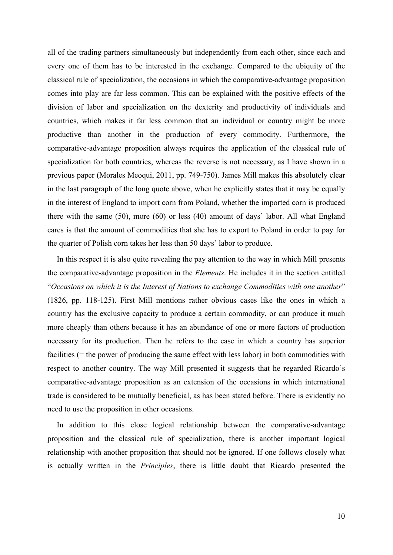all of the trading partners simultaneously but independently from each other, since each and every one of them has to be interested in the exchange. Compared to the ubiquity of the classical rule of specialization, the occasions in which the comparative-advantage proposition comes into play are far less common. This can be explained with the positive effects of the division of labor and specialization on the dexterity and productivity of individuals and countries, which makes it far less common that an individual or country might be more productive than another in the production of every commodity. Furthermore, the comparative-advantage proposition always requires the application of the classical rule of specialization for both countries, whereas the reverse is not necessary, as I have shown in a previous paper (Morales Meoqui, 2011, pp. 749-750). James Mill makes this absolutely clear in the last paragraph of the long quote above, when he explicitly states that it may be equally in the interest of England to import corn from Poland, whether the imported corn is produced there with the same (50), more (60) or less (40) amount of days' labor. All what England cares is that the amount of commodities that she has to export to Poland in order to pay for the quarter of Polish corn takes her less than 50 days' labor to produce.

In this respect it is also quite revealing the pay attention to the way in which Mill presents the comparative-advantage proposition in the *Elements*. He includes it in the section entitled "*Occasions on which it is the Interest of Nations to exchange Commodities with one another*" (1826, pp. 118-125). First Mill mentions rather obvious cases like the ones in which a country has the exclusive capacity to produce a certain commodity, or can produce it much more cheaply than others because it has an abundance of one or more factors of production necessary for its production. Then he refers to the case in which a country has superior facilities (= the power of producing the same effect with less labor) in both commodities with respect to another country. The way Mill presented it suggests that he regarded Ricardo's comparative-advantage proposition as an extension of the occasions in which international trade is considered to be mutually beneficial, as has been stated before. There is evidently no need to use the proposition in other occasions.

In addition to this close logical relationship between the comparative-advantage proposition and the classical rule of specialization, there is another important logical relationship with another proposition that should not be ignored. If one follows closely what is actually written in the *Principles*, there is little doubt that Ricardo presented the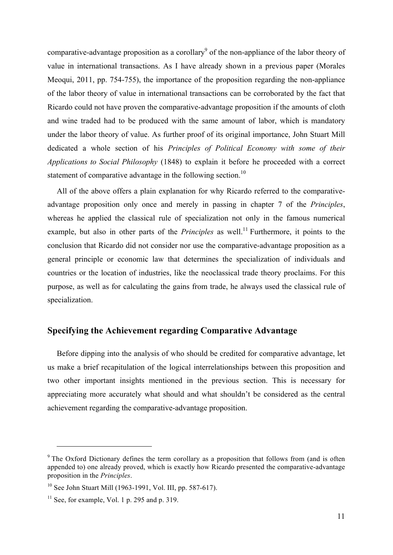comparative-advantage proposition as a corollary<sup>9</sup> of the non-appliance of the labor theory of value in international transactions. As I have already shown in a previous paper (Morales Meoqui, 2011, pp. 754-755), the importance of the proposition regarding the non-appliance of the labor theory of value in international transactions can be corroborated by the fact that Ricardo could not have proven the comparative-advantage proposition if the amounts of cloth and wine traded had to be produced with the same amount of labor, which is mandatory under the labor theory of value. As further proof of its original importance, John Stuart Mill dedicated a whole section of his *Principles of Political Economy with some of their Applications to Social Philosophy* (1848) to explain it before he proceeded with a correct statement of comparative advantage in the following section.<sup>10</sup>

All of the above offers a plain explanation for why Ricardo referred to the comparativeadvantage proposition only once and merely in passing in chapter 7 of the *Principles*, whereas he applied the classical rule of specialization not only in the famous numerical example, but also in other parts of the *Principles* as well.<sup>11</sup> Furthermore, it points to the conclusion that Ricardo did not consider nor use the comparative-advantage proposition as a general principle or economic law that determines the specialization of individuals and countries or the location of industries, like the neoclassical trade theory proclaims. For this purpose, as well as for calculating the gains from trade, he always used the classical rule of specialization.

## **Specifying the Achievement regarding Comparative Advantage**

Before dipping into the analysis of who should be credited for comparative advantage, let us make a brief recapitulation of the logical interrelationships between this proposition and two other important insights mentioned in the previous section. This is necessary for appreciating more accurately what should and what shouldn't be considered as the central achievement regarding the comparative-advantage proposition.

<sup>&</sup>lt;sup>9</sup> The Oxford Dictionary defines the term corollary as a proposition that follows from (and is often appended to) one already proved, which is exactly how Ricardo presented the comparative-advantage proposition in the *Principles*.

<sup>10</sup> See John Stuart Mill (1963-1991, Vol. III, pp. 587-617).

 $11$  See, for example, Vol. 1 p. 295 and p. 319.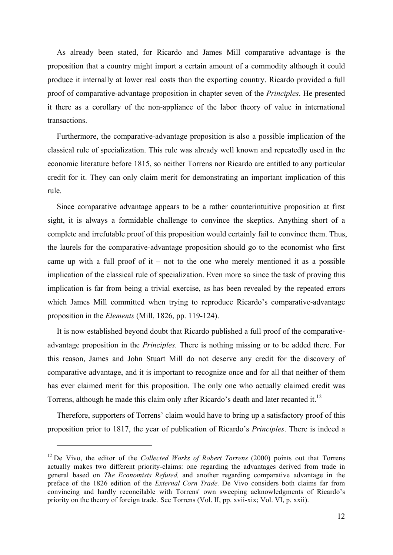As already been stated, for Ricardo and James Mill comparative advantage is the proposition that a country might import a certain amount of a commodity although it could produce it internally at lower real costs than the exporting country. Ricardo provided a full proof of comparative-advantage proposition in chapter seven of the *Principles*. He presented it there as a corollary of the non-appliance of the labor theory of value in international transactions.

Furthermore, the comparative-advantage proposition is also a possible implication of the classical rule of specialization. This rule was already well known and repeatedly used in the economic literature before 1815, so neither Torrens nor Ricardo are entitled to any particular credit for it. They can only claim merit for demonstrating an important implication of this rule.

Since comparative advantage appears to be a rather counterintuitive proposition at first sight, it is always a formidable challenge to convince the skeptics. Anything short of a complete and irrefutable proof of this proposition would certainly fail to convince them. Thus, the laurels for the comparative-advantage proposition should go to the economist who first came up with a full proof of it – not to the one who merely mentioned it as a possible implication of the classical rule of specialization. Even more so since the task of proving this implication is far from being a trivial exercise, as has been revealed by the repeated errors which James Mill committed when trying to reproduce Ricardo's comparative-advantage proposition in the *Elements* (Mill, 1826, pp. 119-124).

It is now established beyond doubt that Ricardo published a full proof of the comparativeadvantage proposition in the *Principles.* There is nothing missing or to be added there. For this reason, James and John Stuart Mill do not deserve any credit for the discovery of comparative advantage, and it is important to recognize once and for all that neither of them has ever claimed merit for this proposition. The only one who actually claimed credit was Torrens, although he made this claim only after Ricardo's death and later recanted it.<sup>12</sup>

Therefore, supporters of Torrens' claim would have to bring up a satisfactory proof of this proposition prior to 1817, the year of publication of Ricardo's *Principles*. There is indeed a

<sup>&</sup>lt;sup>12</sup> De Vivo, the editor of the *Collected Works of Robert Torrens* (2000) points out that Torrens actually makes two different priority-claims: one regarding the advantages derived from trade in general based on *The Economists Refuted,* and another regarding comparative advantage in the preface of the 1826 edition of the *External Corn Trade.* De Vivo considers both claims far from convincing and hardly reconcilable with Torrens' own sweeping acknowledgments of Ricardo's priority on the theory of foreign trade. See Torrens (Vol. II, pp. xvii-xix; Vol. VI, p. xxii).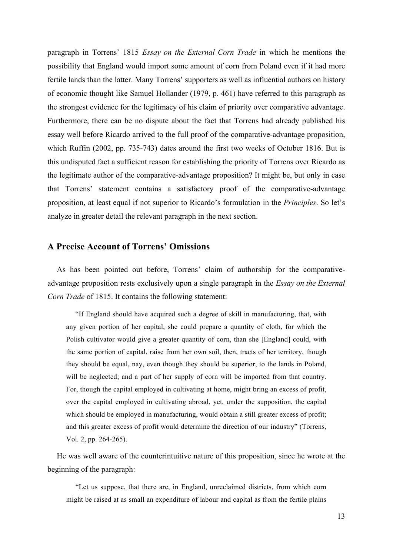paragraph in Torrens' 1815 *Essay on the External Corn Trade* in which he mentions the possibility that England would import some amount of corn from Poland even if it had more fertile lands than the latter. Many Torrens' supporters as well as influential authors on history of economic thought like Samuel Hollander (1979, p. 461) have referred to this paragraph as the strongest evidence for the legitimacy of his claim of priority over comparative advantage. Furthermore, there can be no dispute about the fact that Torrens had already published his essay well before Ricardo arrived to the full proof of the comparative-advantage proposition, which Ruffin (2002, pp. 735-743) dates around the first two weeks of October 1816. But is this undisputed fact a sufficient reason for establishing the priority of Torrens over Ricardo as the legitimate author of the comparative-advantage proposition? It might be, but only in case that Torrens' statement contains a satisfactory proof of the comparative-advantage proposition, at least equal if not superior to Ricardo's formulation in the *Principles*. So let's analyze in greater detail the relevant paragraph in the next section.

#### **A Precise Account of Torrens' Omissions**

As has been pointed out before, Torrens' claim of authorship for the comparativeadvantage proposition rests exclusively upon a single paragraph in the *Essay on the External Corn Trade* of 1815. It contains the following statement:

"If England should have acquired such a degree of skill in manufacturing, that, with any given portion of her capital, she could prepare a quantity of cloth, for which the Polish cultivator would give a greater quantity of corn, than she [England] could, with the same portion of capital, raise from her own soil, then, tracts of her territory, though they should be equal, nay, even though they should be superior, to the lands in Poland, will be neglected; and a part of her supply of corn will be imported from that country. For, though the capital employed in cultivating at home, might bring an excess of profit, over the capital employed in cultivating abroad, yet, under the supposition, the capital which should be employed in manufacturing, would obtain a still greater excess of profit; and this greater excess of profit would determine the direction of our industry" (Torrens, Vol. 2, pp. 264-265).

He was well aware of the counterintuitive nature of this proposition, since he wrote at the beginning of the paragraph:

"Let us suppose, that there are, in England, unreclaimed districts, from which corn might be raised at as small an expenditure of labour and capital as from the fertile plains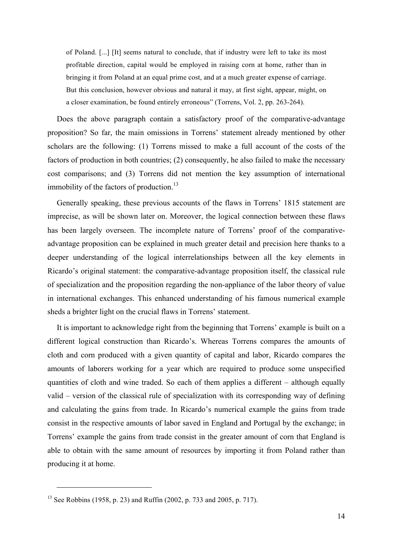of Poland. [...] [It] seems natural to conclude, that if industry were left to take its most profitable direction, capital would be employed in raising corn at home, rather than in bringing it from Poland at an equal prime cost, and at a much greater expense of carriage. But this conclusion, however obvious and natural it may, at first sight, appear, might, on a closer examination, be found entirely erroneous" (Torrens, Vol. 2, pp. 263-264).

Does the above paragraph contain a satisfactory proof of the comparative-advantage proposition? So far, the main omissions in Torrens' statement already mentioned by other scholars are the following: (1) Torrens missed to make a full account of the costs of the factors of production in both countries; (2) consequently, he also failed to make the necessary cost comparisons; and (3) Torrens did not mention the key assumption of international immobility of the factors of production.<sup>13</sup>

Generally speaking, these previous accounts of the flaws in Torrens' 1815 statement are imprecise, as will be shown later on. Moreover, the logical connection between these flaws has been largely overseen. The incomplete nature of Torrens' proof of the comparativeadvantage proposition can be explained in much greater detail and precision here thanks to a deeper understanding of the logical interrelationships between all the key elements in Ricardo's original statement: the comparative-advantage proposition itself, the classical rule of specialization and the proposition regarding the non-appliance of the labor theory of value in international exchanges. This enhanced understanding of his famous numerical example sheds a brighter light on the crucial flaws in Torrens' statement.

It is important to acknowledge right from the beginning that Torrens' example is built on a different logical construction than Ricardo's. Whereas Torrens compares the amounts of cloth and corn produced with a given quantity of capital and labor, Ricardo compares the amounts of laborers working for a year which are required to produce some unspecified quantities of cloth and wine traded. So each of them applies a different – although equally valid – version of the classical rule of specialization with its corresponding way of defining and calculating the gains from trade. In Ricardo's numerical example the gains from trade consist in the respective amounts of labor saved in England and Portugal by the exchange; in Torrens' example the gains from trade consist in the greater amount of corn that England is able to obtain with the same amount of resources by importing it from Poland rather than producing it at home.

<sup>&</sup>lt;sup>13</sup> See Robbins (1958, p. 23) and Ruffin (2002, p. 733 and 2005, p. 717).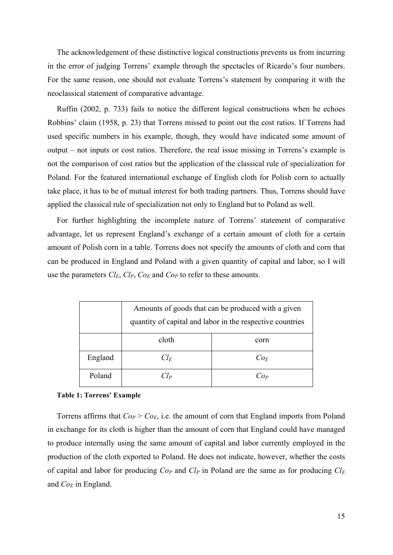The acknowledgement of these distinctive logical constructions prevents us from incurring in the error of judging Torrens' example through the spectacles of Ricardo's four numbers. For the same reason, one should not evaluate Torrens's statement by comparing it with the neoclassical statement of comparative advantage.

Ruffin (2002, p. 733) fails to notice the different logical constructions when he echoes Robbins' claim (1958, p. 23) that Torrens missed to point out the cost ratios. If Torrens had used specific numbers in his example, though, they would have indicated some amount of output – not inputs or cost ratios. Therefore, the real issue missing in Torrens's example is not the comparison of cost ratios but the application of the classical rule of specialization for Poland. For the featured international exchange of English cloth for Polish corn to actually take place, it has to be of mutual interest for both trading partners. Thus, Torrens should have applied the classical rule of specialization not only to England but to Poland as well.

For further highlighting the incomplete nature of Torrens' statement of comparative advantage, let us represent England's exchange of a certain amount of cloth for a certain amount of Polish corn in a table. Torrens does not specify the amounts of cloth and corn that can be produced in England and Poland with a given quantity of capital and labor, so I will use the parameters  $Cl_E$ ,  $Cl_P$ ,  $Co_E$  and  $Co_P$  to refer to these amounts.

|         | Amounts of goods that can be produced with a given<br>quantity of capital and labor in the respective countries |                                     |
|---------|-----------------------------------------------------------------------------------------------------------------|-------------------------------------|
|         | cloth                                                                                                           | corn                                |
| England | $Cl_F$                                                                                                          | $Co_E$                              |
| Poland  | $\gamma_{\rm Lp}$                                                                                               | $^{\prime}$ $^{\prime}$ $^{\prime}$ |

#### **Table 1: Torrens' Example**

Torrens affirms that *CoP* > *CoE*, i.e. the amount of corn that England imports from Poland in exchange for its cloth is higher than the amount of corn that England could have managed to produce internally using the same amount of capital and labor currently employed in the production of the cloth exported to Poland. He does not indicate, however, whether the costs of capital and labor for producing  $Co_P$  and  $Cl_P$  in Poland are the same as for producing  $Cl_E$ and *CoE* in England.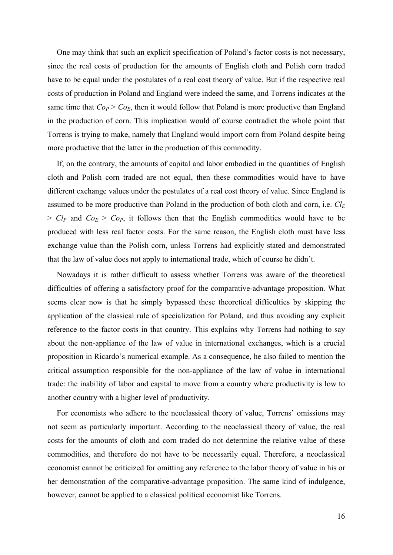One may think that such an explicit specification of Poland's factor costs is not necessary, since the real costs of production for the amounts of English cloth and Polish corn traded have to be equal under the postulates of a real cost theory of value. But if the respective real costs of production in Poland and England were indeed the same, and Torrens indicates at the same time that  $C_{OP} > C_{OE}$ , then it would follow that Poland is more productive than England in the production of corn. This implication would of course contradict the whole point that Torrens is trying to make, namely that England would import corn from Poland despite being more productive that the latter in the production of this commodity.

If, on the contrary, the amounts of capital and labor embodied in the quantities of English cloth and Polish corn traded are not equal, then these commodities would have to have different exchange values under the postulates of a real cost theory of value. Since England is assumed to be more productive than Poland in the production of both cloth and corn, i.e. *Cl<sup>E</sup>*  $> Cl_P$  and  $Co_E > Co_P$ , it follows then that the English commodities would have to be produced with less real factor costs. For the same reason, the English cloth must have less exchange value than the Polish corn, unless Torrens had explicitly stated and demonstrated that the law of value does not apply to international trade, which of course he didn't.

Nowadays it is rather difficult to assess whether Torrens was aware of the theoretical difficulties of offering a satisfactory proof for the comparative-advantage proposition. What seems clear now is that he simply bypassed these theoretical difficulties by skipping the application of the classical rule of specialization for Poland, and thus avoiding any explicit reference to the factor costs in that country. This explains why Torrens had nothing to say about the non-appliance of the law of value in international exchanges, which is a crucial proposition in Ricardo's numerical example. As a consequence, he also failed to mention the critical assumption responsible for the non-appliance of the law of value in international trade: the inability of labor and capital to move from a country where productivity is low to another country with a higher level of productivity.

For economists who adhere to the neoclassical theory of value, Torrens' omissions may not seem as particularly important. According to the neoclassical theory of value, the real costs for the amounts of cloth and corn traded do not determine the relative value of these commodities, and therefore do not have to be necessarily equal. Therefore, a neoclassical economist cannot be criticized for omitting any reference to the labor theory of value in his or her demonstration of the comparative-advantage proposition. The same kind of indulgence, however, cannot be applied to a classical political economist like Torrens.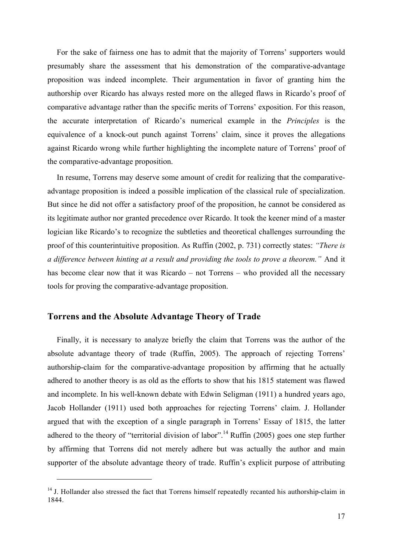For the sake of fairness one has to admit that the majority of Torrens' supporters would presumably share the assessment that his demonstration of the comparative-advantage proposition was indeed incomplete. Their argumentation in favor of granting him the authorship over Ricardo has always rested more on the alleged flaws in Ricardo's proof of comparative advantage rather than the specific merits of Torrens' exposition. For this reason, the accurate interpretation of Ricardo's numerical example in the *Principles* is the equivalence of a knock-out punch against Torrens' claim, since it proves the allegations against Ricardo wrong while further highlighting the incomplete nature of Torrens' proof of the comparative-advantage proposition.

In resume, Torrens may deserve some amount of credit for realizing that the comparativeadvantage proposition is indeed a possible implication of the classical rule of specialization. But since he did not offer a satisfactory proof of the proposition, he cannot be considered as its legitimate author nor granted precedence over Ricardo. It took the keener mind of a master logician like Ricardo's to recognize the subtleties and theoretical challenges surrounding the proof of this counterintuitive proposition. As Ruffin (2002, p. 731) correctly states: *"There is a difference between hinting at a result and providing the tools to prove a theorem."* And it has become clear now that it was Ricardo – not Torrens – who provided all the necessary tools for proving the comparative-advantage proposition.

## **Torrens and the Absolute Advantage Theory of Trade**

 $\overline{a}$ 

Finally, it is necessary to analyze briefly the claim that Torrens was the author of the absolute advantage theory of trade (Ruffin, 2005). The approach of rejecting Torrens' authorship-claim for the comparative-advantage proposition by affirming that he actually adhered to another theory is as old as the efforts to show that his 1815 statement was flawed and incomplete. In his well-known debate with Edwin Seligman (1911) a hundred years ago, Jacob Hollander (1911) used both approaches for rejecting Torrens' claim. J. Hollander argued that with the exception of a single paragraph in Torrens' Essay of 1815, the latter adhered to the theory of "territorial division of labor".<sup>14</sup> Ruffin (2005) goes one step further by affirming that Torrens did not merely adhere but was actually the author and main supporter of the absolute advantage theory of trade. Ruffin's explicit purpose of attributing

<sup>&</sup>lt;sup>14</sup> J. Hollander also stressed the fact that Torrens himself repeatedly recanted his authorship-claim in 1844.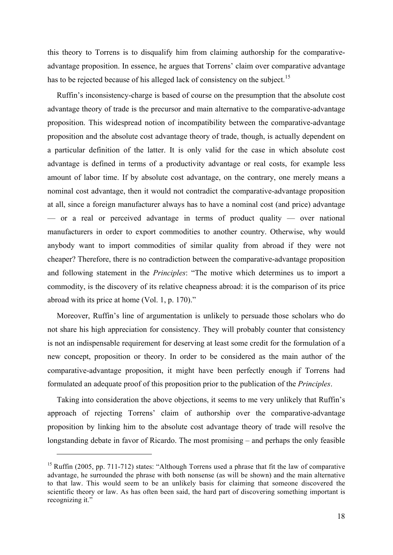this theory to Torrens is to disqualify him from claiming authorship for the comparativeadvantage proposition. In essence, he argues that Torrens' claim over comparative advantage has to be rejected because of his alleged lack of consistency on the subject.<sup>15</sup>

Ruffin's inconsistency-charge is based of course on the presumption that the absolute cost advantage theory of trade is the precursor and main alternative to the comparative-advantage proposition. This widespread notion of incompatibility between the comparative-advantage proposition and the absolute cost advantage theory of trade, though, is actually dependent on a particular definition of the latter. It is only valid for the case in which absolute cost advantage is defined in terms of a productivity advantage or real costs, for example less amount of labor time. If by absolute cost advantage, on the contrary, one merely means a nominal cost advantage, then it would not contradict the comparative-advantage proposition at all, since a foreign manufacturer always has to have a nominal cost (and price) advantage — or a real or perceived advantage in terms of product quality — over national manufacturers in order to export commodities to another country. Otherwise, why would anybody want to import commodities of similar quality from abroad if they were not cheaper? Therefore, there is no contradiction between the comparative-advantage proposition and following statement in the *Principles*: "The motive which determines us to import a commodity, is the discovery of its relative cheapness abroad: it is the comparison of its price abroad with its price at home (Vol. 1, p. 170)."

Moreover, Ruffin's line of argumentation is unlikely to persuade those scholars who do not share his high appreciation for consistency. They will probably counter that consistency is not an indispensable requirement for deserving at least some credit for the formulation of a new concept, proposition or theory. In order to be considered as the main author of the comparative-advantage proposition, it might have been perfectly enough if Torrens had formulated an adequate proof of this proposition prior to the publication of the *Principles*.

Taking into consideration the above objections, it seems to me very unlikely that Ruffin's approach of rejecting Torrens' claim of authorship over the comparative-advantage proposition by linking him to the absolute cost advantage theory of trade will resolve the longstanding debate in favor of Ricardo. The most promising – and perhaps the only feasible

<sup>&</sup>lt;sup>15</sup> Ruffin (2005, pp. 711-712) states: "Although Torrens used a phrase that fit the law of comparative advantage, he surrounded the phrase with both nonsense (as will be shown) and the main alternative to that law. This would seem to be an unlikely basis for claiming that someone discovered the scientific theory or law. As has often been said, the hard part of discovering something important is recognizing it."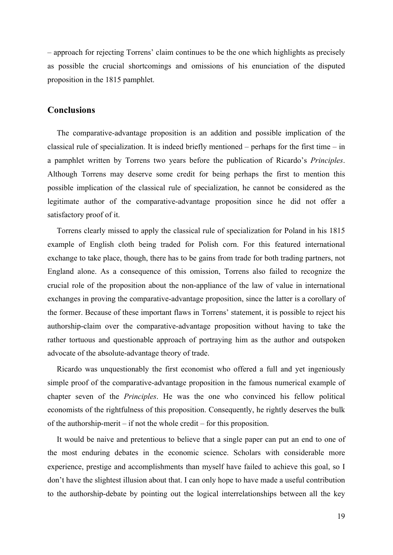– approach for rejecting Torrens' claim continues to be the one which highlights as precisely as possible the crucial shortcomings and omissions of his enunciation of the disputed proposition in the 1815 pamphlet.

## **Conclusions**

The comparative-advantage proposition is an addition and possible implication of the classical rule of specialization. It is indeed briefly mentioned – perhaps for the first time – in a pamphlet written by Torrens two years before the publication of Ricardo's *Principles*. Although Torrens may deserve some credit for being perhaps the first to mention this possible implication of the classical rule of specialization, he cannot be considered as the legitimate author of the comparative-advantage proposition since he did not offer a satisfactory proof of it.

Torrens clearly missed to apply the classical rule of specialization for Poland in his 1815 example of English cloth being traded for Polish corn. For this featured international exchange to take place, though, there has to be gains from trade for both trading partners, not England alone. As a consequence of this omission, Torrens also failed to recognize the crucial role of the proposition about the non-appliance of the law of value in international exchanges in proving the comparative-advantage proposition, since the latter is a corollary of the former. Because of these important flaws in Torrens' statement, it is possible to reject his authorship-claim over the comparative-advantage proposition without having to take the rather tortuous and questionable approach of portraying him as the author and outspoken advocate of the absolute-advantage theory of trade.

Ricardo was unquestionably the first economist who offered a full and yet ingeniously simple proof of the comparative-advantage proposition in the famous numerical example of chapter seven of the *Principles*. He was the one who convinced his fellow political economists of the rightfulness of this proposition. Consequently, he rightly deserves the bulk of the authorship-merit – if not the whole credit – for this proposition.

It would be naive and pretentious to believe that a single paper can put an end to one of the most enduring debates in the economic science. Scholars with considerable more experience, prestige and accomplishments than myself have failed to achieve this goal, so I don't have the slightest illusion about that. I can only hope to have made a useful contribution to the authorship-debate by pointing out the logical interrelationships between all the key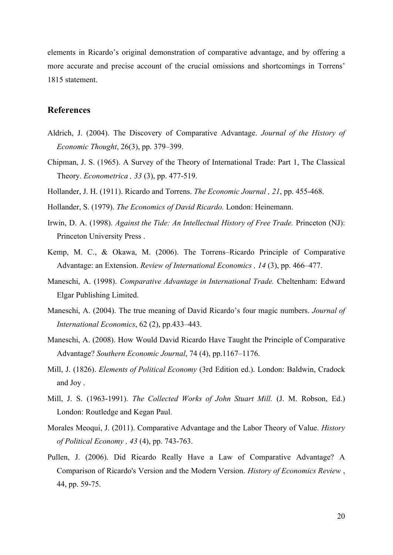elements in Ricardo's original demonstration of comparative advantage, and by offering a more accurate and precise account of the crucial omissions and shortcomings in Torrens' 1815 statement.

## **References**

- Aldrich, J. (2004). The Discovery of Comparative Advantage. *Journal of the History of Economic Thought*, 26(3), pp. 379–399.
- Chipman, J. S. (1965). A Survey of the Theory of International Trade: Part 1, The Classical Theory. *Econometrica , 33* (3), pp. 477-519.
- Hollander, J. H. (1911). Ricardo and Torrens. *The Economic Journal , 21*, pp. 455-468.
- Hollander, S. (1979). *The Economics of David Ricardo.* London: Heinemann.
- Irwin, D. A. (1998). *Against the Tide: An Intellectual History of Free Trade.* Princeton (NJ): Princeton University Press .
- Kemp, M. C., & Okawa, M. (2006). The Torrens–Ricardo Principle of Comparative Advantage: an Extension. *Review of International Economics , 14* (3), pp. 466–477.
- Maneschi, A. (1998). *Comparative Advantage in International Trade.* Cheltenham: Edward Elgar Publishing Limited.
- Maneschi, A. (2004). The true meaning of David Ricardo's four magic numbers. *Journal of International Economics*, 62 (2), pp.433–443.
- Maneschi, A. (2008). How Would David Ricardo Have Taught the Principle of Comparative Advantage? *Southern Economic Journal*, 74 (4), pp.1167–1176.
- Mill, J. (1826). *Elements of Political Economy* (3rd Edition ed.). London: Baldwin, Cradock and Joy .
- Mill, J. S. (1963-1991). *The Collected Works of John Stuart Mill.* (J. M. Robson, Ed.) London: Routledge and Kegan Paul.
- Morales Meoqui, J. (2011). Comparative Advantage and the Labor Theory of Value. *History of Political Economy , 43* (4), pp. 743-763.
- Pullen, J. (2006). Did Ricardo Really Have a Law of Comparative Advantage? A Comparison of Ricardo's Version and the Modern Version. *History of Economics Review* , 44, pp. 59-75.